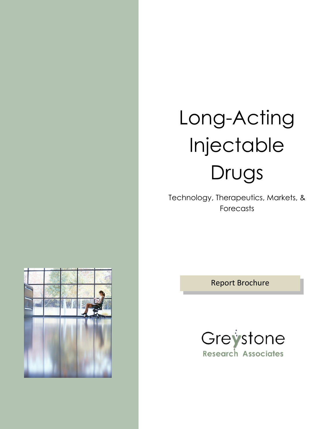# Long-Acting Injectable Drugs

Technology, Therapeutics, Markets, & Forecasts

Report Brochure



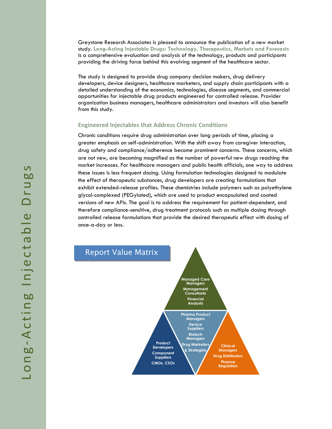Greystone Research Associates is pleased to announce the publication of a new market study. **Long-Acting Injectable Drugs: Technology, Therapeutics, Markets and Forecasts** is a comprehensive evaluation and analysis of the technology, products and participants providing the driving force behind this evolving segment of the healthcare sector.

The study is designed to provide drug company decision makers, drug delivery developers, device designers, healthcare marketers, and supply chain participants with a detailed understanding of the economics, technologies, disease segments, and commercial opportunities for injectable drug products engineered for controlled release. Provider organization business managers, healthcare administrators and investors will also benefit from this study.

## **Engineered Injectables that Address Chronic Conditions**

Chronic conditions require drug administration over long periods of time, placing a greater emphasis on self-administration. With the shift away from caregiver interaction, drug safety and compliance/adherence become prominent concerns. These concerns, which are not new, are becoming magnified as the number of powerful new drugs reaching the market increases. For healthcare managers and public health officials, one way to address these issues is less frequent dosing. Using formulation technologies designed to modulate the effect of therapeutic substances, drug developers are creating formulations that exhibit extended-release profiles. These chemistries include polymers such as polyethylene glycol-complexed (PEGylated), which are used to product encapsulated and coated versions of new APIs. The goal is to address the requirement for patient-dependent, and therefore compliance-sensitive, drug treatment protocols such as multiple dosing through controlled release formulations that provide the desired therapeutic effect with dosing of once-a-day or less.

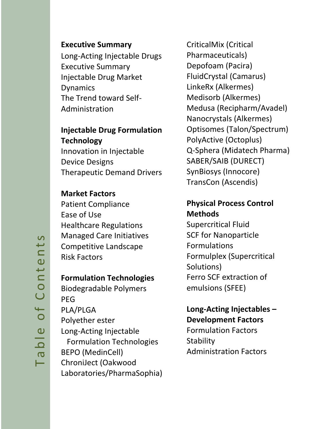## **Executive Summary**

Long-Acting Injectable Drugs Executive Summary Injectable Drug Market Dynamics The Trend toward Self-Administration

# **Injectable Drug Formulation Technology**

Innovation in Injectable Device Designs Therapeutic Demand Drivers

# **Market Factors**

Patient Compliance Ease of Use Healthcare Regulations Managed Care Initiatives Competitive Landscape Risk Factors

## **Formulation Technologies**

Biodegradable Polymers PEG PLA/PLGA Polyether ester Long-Acting Injectable Formulation Technologies BEPO (MedinCell) ChroniJect (Oakwood Laboratories/PharmaSophia)

CriticalMix (Critical Pharmaceuticals) Depofoam (Pacira) FluidCrystal (Camarus) LinkeRx (Alkermes) Medisorb (Alkermes) Medusa (Recipharm/Avadel) Nanocrystals (Alkermes) Optisomes (Talon/Spectrum) PolyActive (Octoplus) Q-Sphera (Midatech Pharma) SABER/SAIB (DURECT) SynBiosys (Innocore) TransCon (Ascendis)

# **Physical Process Control Methods**

Supercritical Fluid SCF for Nanoparticle Formulations Formulplex (Supercritical Solutions) Ferro SCF extraction of emulsions (SFEE)

# **Long-Acting Injectables – Development Factors**

Formulation Factors **Stability** Administration Factors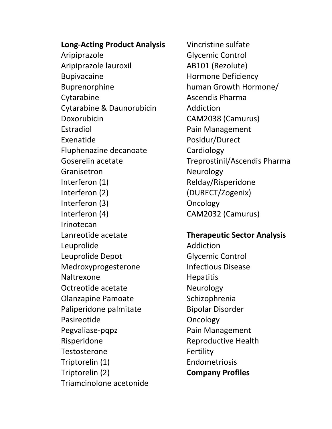**Long-Acting Product Analysis** Aripiprazole Aripiprazole lauroxil Bupivacaine Buprenorphine Cytarabine Cytarabine & Daunorubicin Doxorubicin Estradiol Exenatide Fluphenazine decanoate Goserelin acetate Granisetron Interferon (1) Interferon (2) Interferon (3) Interferon (4) Irinotecan Lanreotide acetate Leuprolide Leuprolide Depot Medroxyprogesterone Naltrexone Octreotide acetate Olanzapine Pamoate Paliperidone palmitate Pasireotide Pegvaliase-pqpz Risperidone **Testosterone** Triptorelin (1) Triptorelin (2) Triamcinolone acetonide

Vincristine sulfate Glycemic Control AB101 (Rezolute) Hormone Deficiency human Growth Hormone/ Ascendis Pharma Addiction CAM2038 (Camurus) Pain Management Posidur/Durect Cardiology Treprostinil/Ascendis Pharma Neurology Relday/Risperidone (DURECT/Zogenix) Oncology CAM2032 (Camurus)

## **Therapeutic Sector Analysis**

Addiction Glycemic Control Infectious Disease **Hepatitis** Neurology Schizophrenia Bipolar Disorder Oncology Pain Management Reproductive Health Fertility Endometriosis **Company Profiles**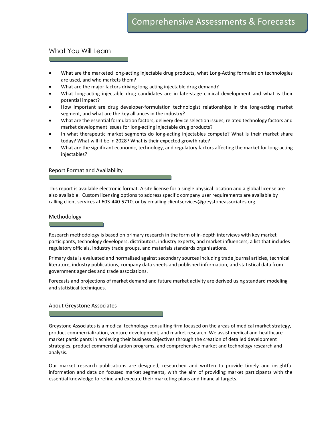## What You Will Learn

- What are the marketed long-acting injectable drug products, what Long-Acting formulation technologies are used, and who markets them?
- What are the major factors driving long-acting injectable drug demand?
- What long-acting injectable drug candidates are in late-stage clinical development and what is their potential impact?
- How important are drug developer-formulation technologist relationships in the long-acting market segment, and what are the key alliances in the industry?
- What are the essential formulation factors, delivery device selection issues, related technology factors and market development issues for long-acting injectable drug products?
- In what therapeutic market segments do long-acting injectables compete? What is their market share today? What will it be in 2028? What is their expected growth rate?
- What are the significant economic, technology, and regulatory factors affecting the market for long-acting injectables?

### Report Format and Availability

This report is available electronic format. A site license for a single physical location and a global license are also available. Custom licensing options to address specific company user requirements are available by calling client services at 603-440-5710, or by emailing clientservices@greystoneassociates.org.

### Methodology

Research methodology is based on primary research in the form of in-depth interviews with key market participants, technology developers, distributors, industry experts, and market influencers, a list that includes regulatory officials, industry trade groups, and materials standards organizations.

Primary data is evaluated and normalized against secondary sources including trade journal articles, technical literature, industry publications, company data sheets and published information, and statistical data from government agencies and trade associations.

Forecasts and projections of market demand and future market activity are derived using standard modeling and statistical techniques.

### About Greystone Associates

Greystone Associates is a medical technology consulting firm focused on the areas of medical market strategy, product commercialization, venture development, and market research. We assist medical and healthcare market participants in achieving their business objectives through the creation of detailed development strategies, product commercialization programs, and comprehensive market and technology research and analysis.

Our market research publications are designed, researched and written to provide timely and insightful information and data on focused market segments, with the aim of providing market participants with the essential knowledge to refine and execute their marketing plans and financial targets.